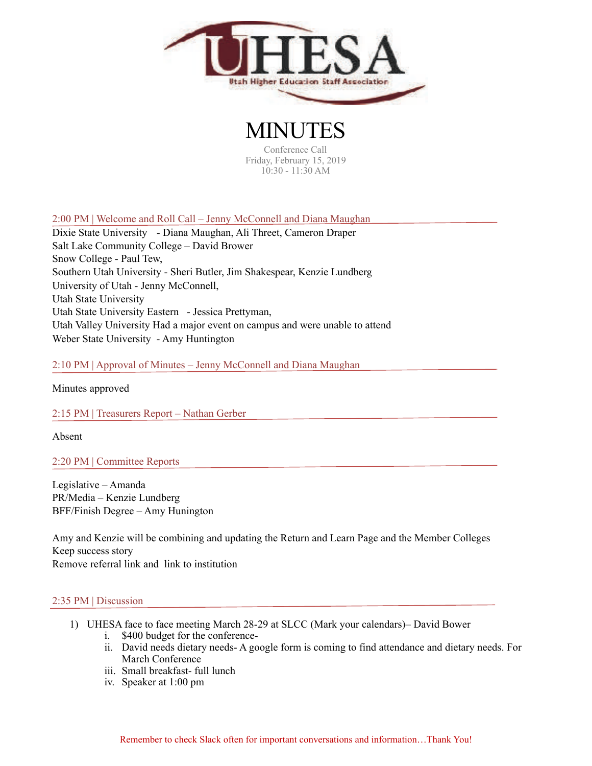

MINUTES Conference Call Friday, February 15, 2019 10:30 - 11:30 AM

2:00 PM | Welcome and Roll Call – Jenny McConnell and Diana Maughan

Dixie State University - Diana Maughan, Ali Threet, Cameron Draper Salt Lake Community College – David Brower Snow College - Paul Tew, Southern Utah University - Sheri Butler, Jim Shakespear, Kenzie Lundberg University of Utah - Jenny McConnell, Utah State University Utah State University Eastern - Jessica Prettyman, Utah Valley University Had a major event on campus and were unable to attend Weber State University - Amy Huntington

2:10 PM | Approval of Minutes – Jenny McConnell and Diana Maughan

Minutes approved

2:15 PM | Treasurers Report – Nathan Gerber

Absent

2:20 PM | Committee Reports

Legislative – Amanda PR/Media – Kenzie Lundberg BFF/Finish Degree – Amy Hunington

Amy and Kenzie will be combining and updating the Return and Learn Page and the Member Colleges Keep success story Remove referral link and link to institution

## 2:35 PM | Discussion

- 1) UHESA face to face meeting March 28-29 at SLCC (Mark your calendars)– David Bower i. \$400 budget for the conference
	- ii. David needs dietary needs- A google form is coming to find attendance and dietary needs. For March Conference
	- iii. Small breakfast- full lunch
	- iv. Speaker at 1:00 pm